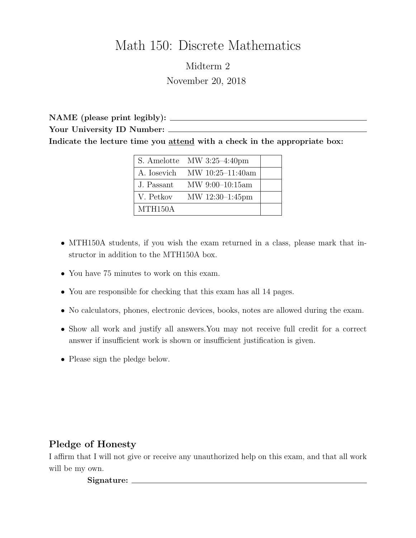# Math 150: Discrete Mathematics

Midterm 2 November 20, 2018

NAME (please print legibly): Your University ID Number: \_\_\_\_\_\_\_ Indicate the lecture time you attend with a check in the appropriate box:

|                      | $\vert$ S. Amelotte MW 3:25-4:40pm |  |
|----------------------|------------------------------------|--|
|                      | A. Iosevich MW $10:25-11:40$ am    |  |
| J. Passant           | $MW\ 9:00-10:15am$                 |  |
| V. Petkov            | MW 12:30-1:45pm                    |  |
| MTH <sub>150</sub> A |                                    |  |

- MTH150A students, if you wish the exam returned in a class, please mark that instructor in addition to the MTH150A box.
- You have 75 minutes to work on this exam.
- You are responsible for checking that this exam has all 14 pages.
- No calculators, phones, electronic devices, books, notes are allowed during the exam.
- Show all work and justify all answers.You may not receive full credit for a correct answer if insufficient work is shown or insufficient justification is given.
- Please sign the pledge below.

## Pledge of Honesty

I affirm that I will not give or receive any unauthorized help on this exam, and that all work will be my own.

Signature: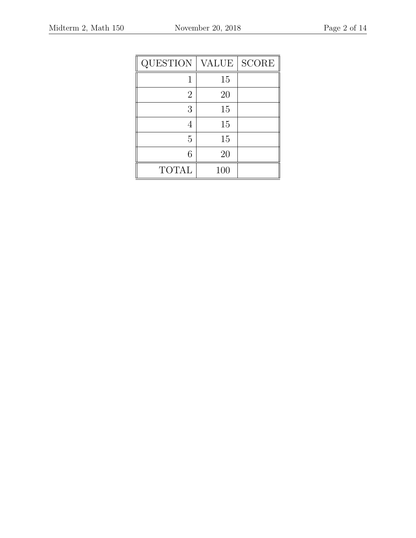| QUESTION     | <b>VALUE</b> | <b>SCORE</b> |
|--------------|--------------|--------------|
|              | 15           |              |
| 2            | 20           |              |
| 3            | 15           |              |
|              | 15           |              |
| 5            | 15           |              |
| 6            | 20           |              |
| <b>TOTAL</b> | 100          |              |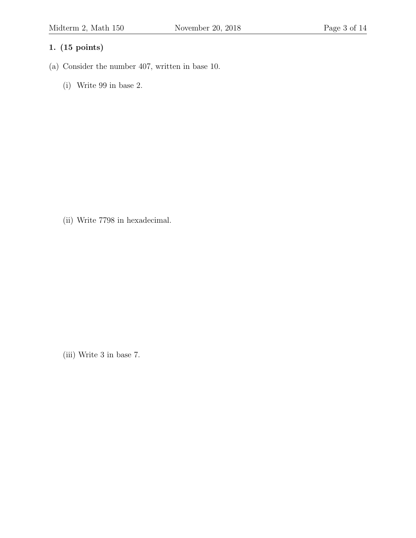- (a) Consider the number 407, written in base 10.
	- (i) Write 99 in base 2.

(ii) Write 7798 in hexadecimal.

(iii) Write 3 in base 7.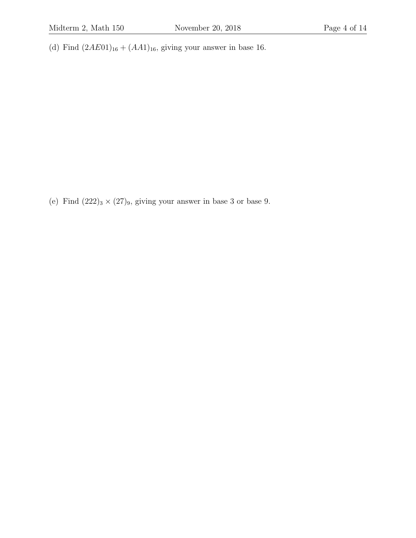(d) Find  $(2A E01)_{16} + (A A1)_{16}$ , giving your answer in base 16.

(e) Find  $(222)_3 \times (27)_9$ , giving your answer in base 3 or base 9.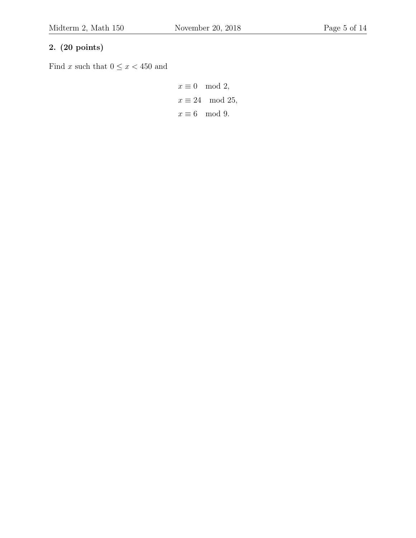## 2. (20 points)

Find  $x$  such that  $0 \leq x < 450$  and

$$
x \equiv 0 \mod 2,
$$
  

$$
x \equiv 24 \mod 25,
$$
  

$$
x \equiv 6 \mod 9.
$$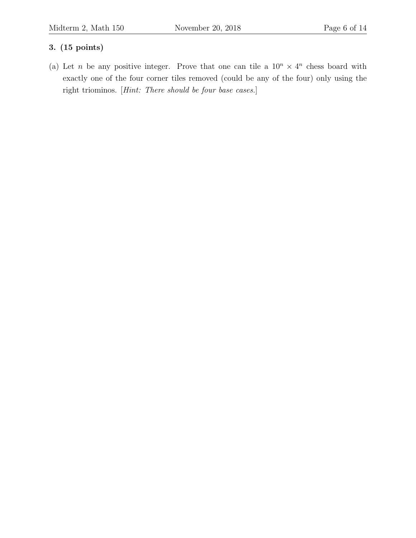(a) Let *n* be any positive integer. Prove that one can tile a  $10^n \times 4^n$  chess board with exactly one of the four corner tiles removed (could be any of the four) only using the right triominos. [Hint: There should be four base cases.]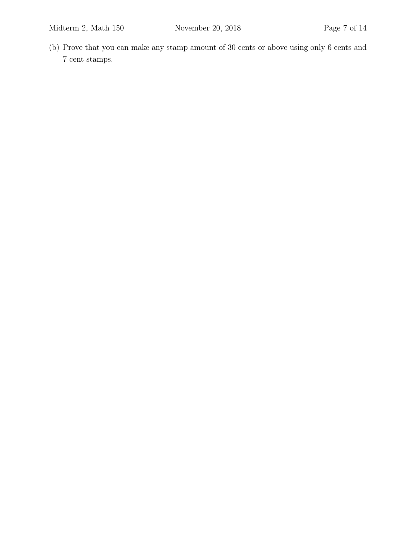- 
- (b) Prove that you can make any stamp amount of 30 cents or above using only 6 cents and 7 cent stamps.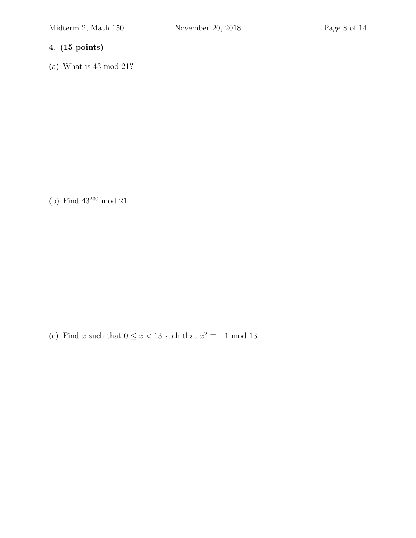(a) What is 43 mod 21?

(b) Find 43<sup>230</sup> mod 21.

(c) Find x such that  $0 \le x < 13$  such that  $x^2 \equiv -1 \mod 13$ .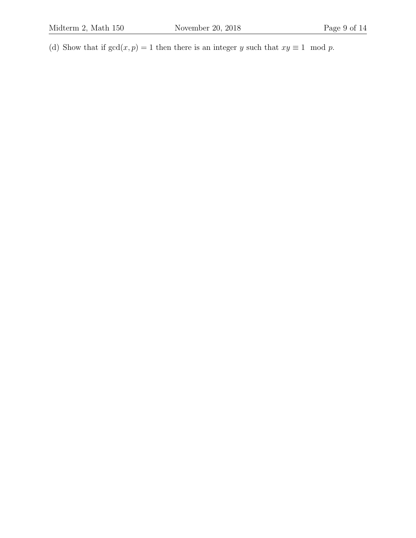(d) Show that if  $gcd(x, p) = 1$  then there is an integer y such that  $xy \equiv 1 \mod p$ .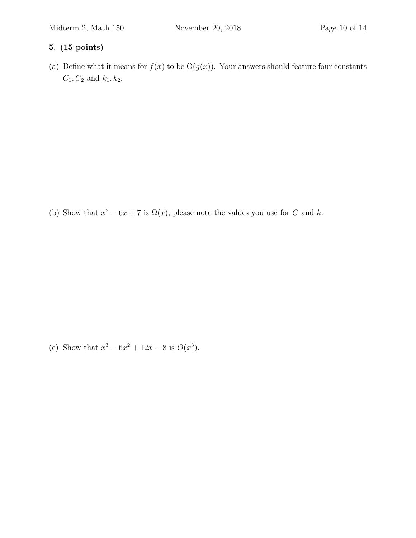(a) Define what it means for  $f(x)$  to be  $\Theta(g(x))$ . Your answers should feature four constants  $C_1, C_2$  and  $k_1, k_2$ .

(b) Show that  $x^2 - 6x + 7$  is  $\Omega(x)$ , please note the values you use for C and k.

(c) Show that  $x^3 - 6x^2 + 12x - 8$  is  $O(x^3)$ .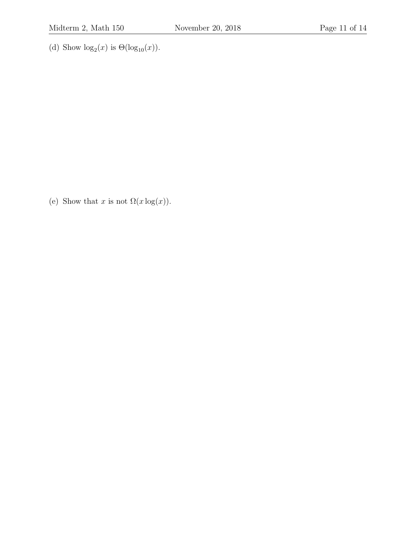(d) Show  $\log_2(x)$  is  $\Theta(\log_{10}(x))$ .

(e) Show that x is not  $\Omega(x \log(x))$ .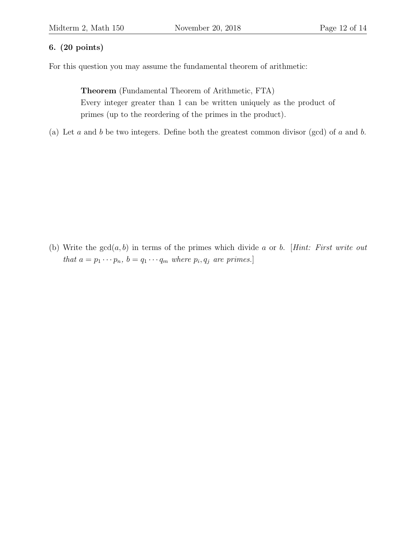### 6. (20 points)

For this question you may assume the fundamental theorem of arithmetic:

Theorem (Fundamental Theorem of Arithmetic, FTA) Every integer greater than 1 can be written uniquely as the product of primes (up to the reordering of the primes in the product).

(a) Let a and b be two integers. Define both the greatest common divisor (gcd) of a and b.

(b) Write the  $gcd(a, b)$  in terms of the primes which divide a or b. [Hint: First write out that  $a = p_1 \cdots p_n$ ,  $b = q_1 \cdots q_m$  where  $p_i, q_j$  are primes.]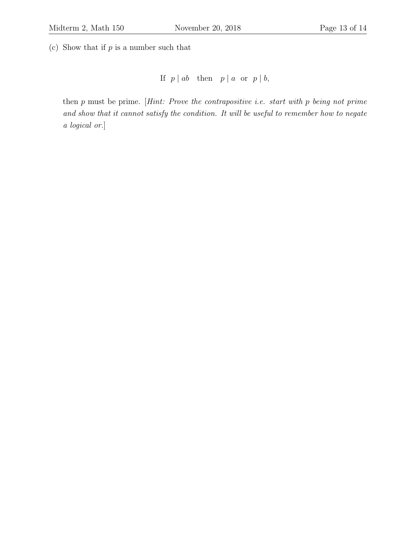(c) Show that if  $p$  is a number such that

If  $p \mid ab$  then  $p \mid a$  or  $p \mid b$ ,

then  $p$  must be prime. [Hint: Prove the contrapositive i.e. start with  $p$  being not prime and show that it cannot satisfy the condition. It will be useful to remember how to negate a logical or.]